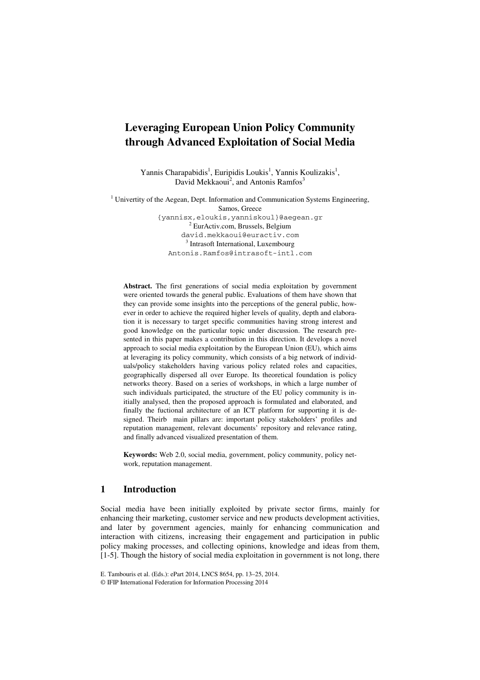# **Leveraging European Union Policy Community through Advanced Exploitation of Social Media**

Yannis Charapabidis<sup>1</sup>, Euripidis Loukis<sup>1</sup>, Yannis Koulizakis<sup>1</sup>, David Mekkaoui<sup>2</sup>, and Antonis Ramfos<sup>3</sup>

<sup>1</sup> Univertity of the Aegean, Dept. Information and Communication Systems Engineering, Samos, Greece {yannisx,eloukis,yanniskoul}@aegean.gr <sup>2</sup> EurActiv.com, Brussels, Belgium david.mekkaoui@euractiv.com <sup>3</sup> Intrasoft International, Luxembourg Antonis.Ramfos@intrasoft-intl.com

**Abstract.** The first generations of social media exploitation by government were oriented towards the general public. Evaluations of them have shown that they can provide some insights into the perceptions of the general public, however in order to achieve the required higher levels of quality, depth and elaboration it is necessary to target specific communities having strong interest and good knowledge on the particular topic under discussion. The research presented in this paper makes a contribution in this direction. It develops a novel approach to social media exploitation by the European Union (EU), which aims at leveraging its policy community, which consists of a big network of individuals/policy stakeholders having various policy related roles and capacities, geographically dispersed all over Europe. Its theoretical foundation is policy networks theory. Based on a series of workshops, in which a large number of such individuals participated, the structure of the EU policy community is initially analysed, then the proposed approach is formulated and elaborated, and finally the fuctional architecture of an ICT platform for supporting it is designed. Theirb main pillars are: important policy stakeholders' profiles and reputation management, relevant documents' repository and relevance rating, and finally advanced visualized presentation of them.

**Keywords:** Web 2.0, social media, government, policy community, policy network, reputation management.

### **1 Introduction**

Social media have been initially exploited by private sector firms, mainly for enhancing their marketing, customer service and new products development activities, and later by government agencies, mainly for enhancing communication and interaction with citizens, increasing their engagement and participation in public policy making processes, and collecting opinions, knowledge and ideas from them, [1-5]. Though the history of social media exploitation in government is not long, there

© IFIP International Federation for Information Processing 2014

E. Tambouris et al. (Eds.): ePart 2014, LNCS 8654, pp. 13–25, 2014.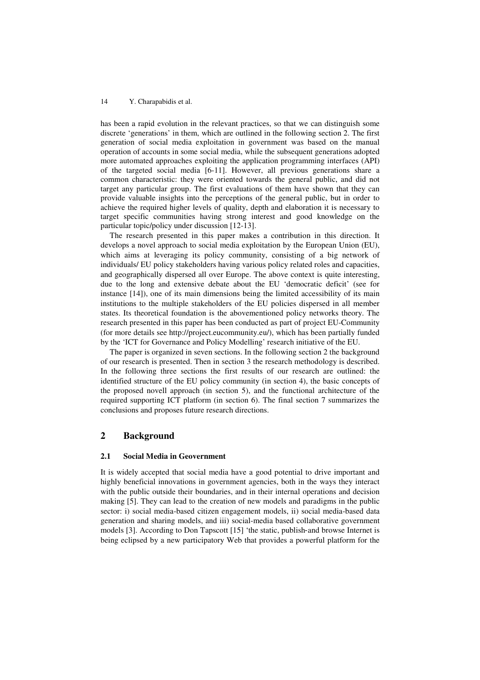has been a rapid evolution in the relevant practices, so that we can distinguish some discrete 'generations' in them, which are outlined in the following section 2. The first generation of social media exploitation in government was based on the manual operation of accounts in some social media, while the subsequent generations adopted more automated approaches exploiting the application programming interfaces (API) of the targeted social media [6-11]. However, all previous generations share a common characteristic: they were oriented towards the general public, and did not target any particular group. The first evaluations of them have shown that they can provide valuable insights into the perceptions of the general public, but in order to achieve the required higher levels of quality, depth and elaboration it is necessary to target specific communities having strong interest and good knowledge on the particular topic/policy under discussion [12-13].

The research presented in this paper makes a contribution in this direction. It develops a novel approach to social media exploitation by the European Union (EU), which aims at leveraging its policy community, consisting of a big network of individuals/ EU policy stakeholders having various policy related roles and capacities, and geographically dispersed all over Europe. The above context is quite interesting, due to the long and extensive debate about the EU 'democratic deficit' (see for instance [14]), one of its main dimensions being the limited accessibility of its main institutions to the multiple stakeholders of the EU policies dispersed in all member states. Its theoretical foundation is the abovementioned policy networks theory. The research presented in this paper has been conducted as part of project EU-Community (for more details see http://project.eucommunity.eu/), which has been partially funded by the 'ICT for Governance and Policy Modelling' research initiative of the EU.

The paper is organized in seven sections. In the following section 2 the background of our research is presented. Then in section 3 the research methodology is described. In the following three sections the first results of our research are outlined: the identified structure of the EU policy community (in section 4), the basic concepts of the proposed novell approach (in section 5), and the functional architecture of the required supporting ICT platform (in section 6). The final section 7 summarizes the conclusions and proposes future research directions.

### **2 Background**

#### **2.1 Social Media in Geovernment**

It is widely accepted that social media have a good potential to drive important and highly beneficial innovations in government agencies, both in the ways they interact with the public outside their boundaries, and in their internal operations and decision making [5]. They can lead to the creation of new models and paradigms in the public sector: i) social media-based citizen engagement models, ii) social media-based data generation and sharing models, and iii) social-media based collaborative government models [3]. According to Don Tapscott [15] 'the static, publish-and browse Internet is being eclipsed by a new participatory Web that provides a powerful platform for the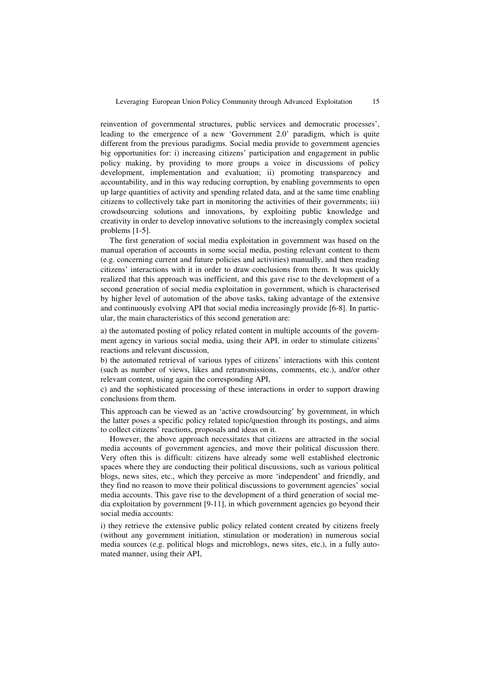reinvention of governmental structures, public services and democratic processes', leading to the emergence of a new 'Government 2.0' paradigm, which is quite different from the previous paradigms. Social media provide to government agencies big opportunities for: i) increasing citizens' participation and engagement in public policy making, by providing to more groups a voice in discussions of policy development, implementation and evaluation; ii) promoting transparency and accountability, and in this way reducing corruption, by enabling governments to open up large quantities of activity and spending related data, and at the same time enabling citizens to collectively take part in monitoring the activities of their governments; iii) crowdsourcing solutions and innovations, by exploiting public knowledge and creativity in order to develop innovative solutions to the increasingly complex societal problems [1-5].

The first generation of social media exploitation in government was based on the manual operation of accounts in some social media, posting relevant content to them (e.g. concerning current and future policies and activities) manually, and then reading citizens' interactions with it in order to draw conclusions from them. It was quickly realized that this approach was inefficient, and this gave rise to the development of a second generation of social media exploitation in government, which is characterised by higher level of automation of the above tasks, taking advantage of the extensive and continuously evolving API that social media increasingly provide [6-8]. In particular, the main characteristics of this second generation are:

a) the automated posting of policy related content in multiple accounts of the government agency in various social media, using their API, in order to stimulate citizens' reactions and relevant discussion,

b) the automated retrieval of various types of citizens' interactions with this content (such as number of views, likes and retransmissions, comments, etc.), and/or other relevant content, using again the corresponding API,

c) and the sophisticated processing of these interactions in order to support drawing conclusions from them.

This approach can be viewed as an 'active crowdsourcing' by government, in which the latter poses a specific policy related topic/question through its postings, and aims to collect citizens' reactions, proposals and ideas on it.

However, the above approach necessitates that citizens are attracted in the social media accounts of government agencies, and move their political discussion there. Very often this is difficult: citizens have already some well established electronic spaces where they are conducting their political discussions, such as various political blogs, news sites, etc., which they perceive as more 'independent' and friendly, and they find no reason to move their political discussions to government agencies' social media accounts. This gave rise to the development of a third generation of social media exploitation by government [9-11], in which government agencies go beyond their social media accounts:

i) they retrieve the extensive public policy related content created by citizens freely (without any government initiation, stimulation or moderation) in numerous social media sources (e.g. political blogs and microblogs, news sites, etc.), in a fully automated manner, using their API,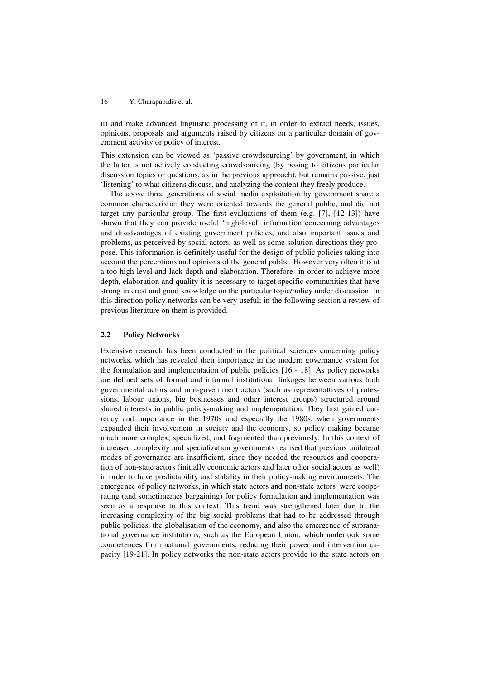ii) and make advanced linguistic processing of it, in order to extract needs, issues, opinions, proposals and arguments raised by citizens on a particular domain of government activity or policy of interest.

This extension can be viewed as 'passive crowdsourcing' by government, in which the latter is not actively conducting crowdsourcing (by posing to citizens particular discussion topics or questions, as in the previous approach), but remains passive, just 'listening' to what citizens discuss, and analyzing the content they freely produce.

The above three generations of social media exploitation by government share a common characteristic: they were oriented towards the general public, and did not target any particular group. The first evaluations of them (e.g. [7], [12-13]) have shown that they can provide useful 'high-level' information concerning advantages and disadvantages of existing government policies, and also important issues and problems, as perceived by social actors, as well as some solution directions they propose. This information is definitely useful for the design of public policies taking into account the perceptions and opinions of the general public. However very often it is at a too high level and lack depth and elaboration. Therefore in order to achieve more depth, elaboration and quality it is necessary to target specific communities that have strong interest and good knowledge on the particular topic/policy under discussion. In this direction policy networks can be very useful; in the following section a review of previous literature on them is provided.

#### **2.2 Policy Networks**

Extensive research has been conducted in the political sciences concerning policy networks, which has revealed their importance in the modern governance system for the formulation and implementation of public policies [16 - 18]. As policy networks are defined sets of formal and informal institutional linkages between various both governmental actors and non-government actors (such as representattives of professions, labour unions, big businesses and other interest groups) structured around shared interests in public policy-making and implementation. They first gained currency and importance in the 1970s and especially the 1980s, when governments expanded their involvement in society and the economy, so policy making became much more complex, specialized, and fragmented than previously. In this context of increased complexity and specialization governments realised that previous unilateral modes of governance are insufficient, since they needed the resources and cooperation of non-state actors (initially economic actors and later other social actors as well) in order to have predictability and stability in their policy-making environments. The emergence of policy networks, in which state actors and non-state actors were cooperating (and sometimemes bargaining) for policy formulation and implementation was seen as a response to this context. This trend was strengthened later due to the increasing complexity of the big social problems that had to be addressed through public policies, the globalisation of the economy, and also the emergence of supranational governance institutions, such as the European Union, which undertook some competences from national governments, reducing their power and intervention capacity [19-21]. In policy networks the non-state actors provide to the state actors on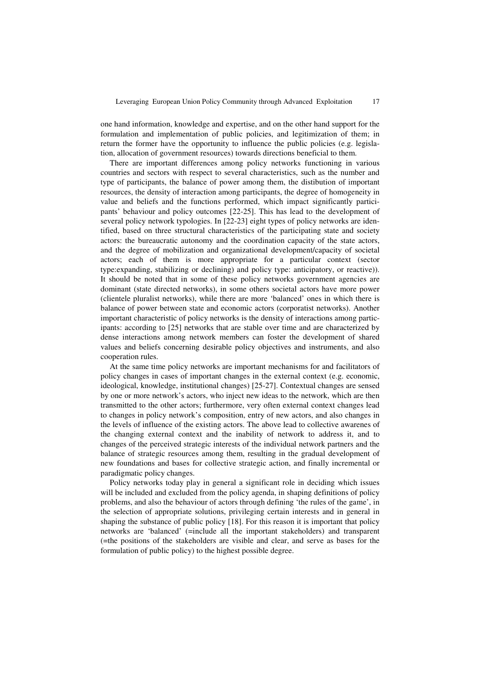one hand information, knowledge and expertise, and on the other hand support for the formulation and implementation of public policies, and legitimization of them; in return the former have the opportunity to influence the public policies (e.g. legislation, allocation of government resources) towards directions beneficial to them.

There are important differences among policy networks functioning in various countries and sectors with respect to several characteristics, such as the number and type of participants, the balance of power among them, the distibution of important resources, the density of interaction among participants, the degree of homogeneity in value and beliefs and the functions performed, which impact significantly participants' behaviour and policy outcomes [22-25]. This has lead to the development of several policy network typologies. In [22-23] eight types of policy networks are identified, based on three structural characteristics of the participating state and society actors: the bureaucratic autonomy and the coordination capacity of the state actors, and the degree of mobilization and organizational development/capacity of societal actors; each of them is more appropriate for a particular context (sector type:expanding, stabilizing or declining) and policy type: anticipatory, or reactive)). It should be noted that in some of these policy networks government agencies are dominant (state directed networks), in some others societal actors have more power (clientele pluralist networks), while there are more 'balanced' ones in which there is balance of power between state and economic actors (corporatist networks). Another important characteristic of policy networks is the density of interactions among participants: according to [25] networks that are stable over time and are characterized by dense interactions among network members can foster the development of shared values and beliefs concerning desirable policy objectives and instruments, and also cooperation rules.

At the same time policy networks are important mechanisms for and facilitators of policy changes in cases of important changes in the external context (e.g. economic, ideological, knowledge, institutional changes) [25-27]. Contextual changes are sensed by one or more network's actors, who inject new ideas to the network, which are then transmitted to the other actors; furthermore, very often external context changes lead to changes in policy network's composition, entry of new actors, and also changes in the levels of influence of the existing actors. The above lead to collective awarenes of the changing external context and the inability of network to address it, and to changes of the perceived strategic interests of the individual network partners and the balance of strategic resources among them, resulting in the gradual development of new foundations and bases for collective strategic action, and finally incremental or paradigmatic policy changes.

Policy networks today play in general a significant role in deciding which issues will be included and excluded from the policy agenda, in shaping definitions of policy problems, and also the behaviour of actors through defining 'the rules of the game', in the selection of appropriate solutions, privileging certain interests and in general in shaping the substance of public policy [18]. For this reason it is important that policy networks are 'balanced' (=include all the important stakeholders) and transparent (=the positions of the stakeholders are visible and clear, and serve as bases for the formulation of public policy) to the highest possible degree.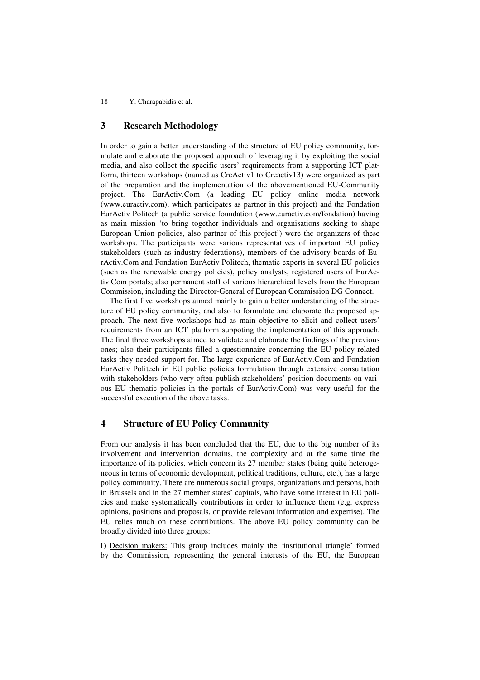### **3 Research Methodology**

In order to gain a better understanding of the structure of EU policy community, formulate and elaborate the proposed approach of leveraging it by exploiting the social media, and also collect the specific users' requirements from a supporting ICT platform, thirteen workshops (named as CreActiv1 to Creactiv13) were organized as part of the preparation and the implementation of the abovementioned EU-Community project. The EurActiv.Com (a leading EU policy online media network (www.euractiv.com), which participates as partner in this project) and the Fondation EurActiv Politech (a public service foundation (www.euractiv.com/fondation) having as main mission 'to bring together individuals and organisations seeking to shape European Union policies, also partner of this project') were the organizers of these workshops. The participants were various representatives of important EU policy stakeholders (such as industry federations), members of the advisory boards of EurActiv.Com and Fondation EurActiv Politech, thematic experts in several EU policies (such as the renewable energy policies), policy analysts, registered users of EurActiv.Com portals; also permanent staff of various hierarchical levels from the European Commission, including the Director-General of European Commission DG Connect.

The first five workshops aimed mainly to gain a better understanding of the structure of EU policy community, and also to formulate and elaborate the proposed approach. The next five workshops had as main objective to elicit and collect users' requirements from an ICT platform suppoting the implementation of this approach. The final three workshops aimed to validate and elaborate the findings of the previous ones; also their participants filled a questionnaire concerning the EU policy related tasks they needed support for. The large experience of EurActiv.Com and Fondation EurActiv Politech in EU public policies formulation through extensive consultation with stakeholders (who very often publish stakeholders' position documents on various EU thematic policies in the portals of EurActiv.Com) was very useful for the successful execution of the above tasks.

### **4 Structure of EU Policy Community**

From our analysis it has been concluded that the EU, due to the big number of its involvement and intervention domains, the complexity and at the same time the importance of its policies, which concern its 27 member states (being quite heterogeneous in terms of economic development, political traditions, culture, etc.), has a large policy community. There are numerous social groups, organizations and persons, both in Brussels and in the 27 member states' capitals, who have some interest in EU policies and make systematically contributions in order to influence them (e.g. express opinions, positions and proposals, or provide relevant information and expertise). The EU relies much on these contributions. The above EU policy community can be broadly divided into three groups:

I) Decision makers: This group includes mainly the 'institutional triangle' formed by the Commission, representing the general interests of the EU, the European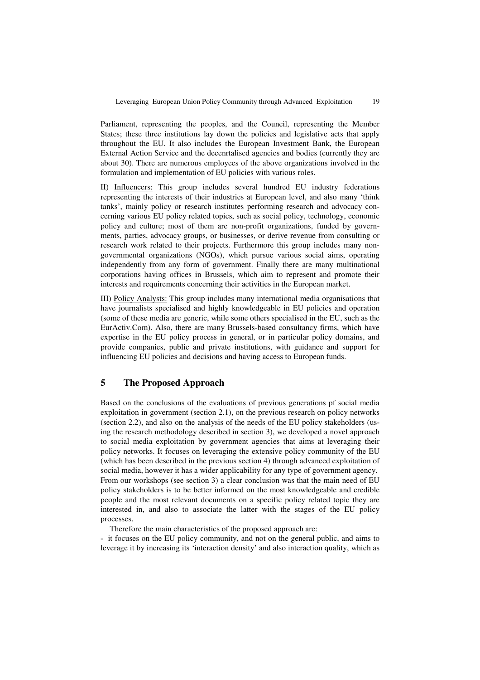Parliament, representing the peoples, and the Council, representing the Member States; these three institutions lay down the policies and legislative acts that apply throughout the EU. It also includes the European Investment Bank, the European External Action Service and the decenrtalised agencies and bodies (currently they are about 30). There are numerous employees of the above organizations involved in the formulation and implementation of EU policies with various roles.

II) Influencers: This group includes several hundred EU industry federations representing the interests of their industries at European level, and also many 'think tanks', mainly policy or research institutes performing research and advocacy concerning various EU policy related topics, such as social policy, technology, economic policy and culture; most of them are non-profit organizations, funded by governments, parties, advocacy groups, or businesses, or derive revenue from consulting or research work related to their projects. Furthermore this group includes many nongovernmental organizations (NGOs), which pursue various social aims, operating independently from any form of government. Finally there are many multinational corporations having offices in Brussels, which aim to represent and promote their interests and requirements concerning their activities in the European market.

III) Policy Analysts: This group includes many international media organisations that have journalists specialised and highly knowledgeable in EU policies and operation (some of these media are generic, while some others specialised in the EU, such as the EurActiv.Com). Also, there are many Brussels-based consultancy firms, which have expertise in the EU policy process in general, or in particular policy domains, and provide companies, public and private institutions, with guidance and support for influencing EU policies and decisions and having access to European funds.

### **5 The Proposed Approach**

Based on the conclusions of the evaluations of previous generations pf social media exploitation in government (section 2.1), on the previous research on policy networks (section 2.2), and also on the analysis of the needs of the EU policy stakeholders (using the research methodology described in section 3), we developed a novel approach to social media exploitation by government agencies that aims at leveraging their policy networks. It focuses on leveraging the extensive policy community of the EU (which has been described in the previous section 4) through advanced exploitation of social media, however it has a wider applicability for any type of government agency. From our workshops (see section 3) a clear conclusion was that the main need of EU policy stakeholders is to be better informed on the most knowledgeable and credible people and the most relevant documents on a specific policy related topic they are interested in, and also to associate the latter with the stages of the EU policy processes.

Therefore the main characteristics of the proposed approach are:

- it focuses on the EU policy community, and not on the general public, and aims to leverage it by increasing its 'interaction density' and also interaction quality, which as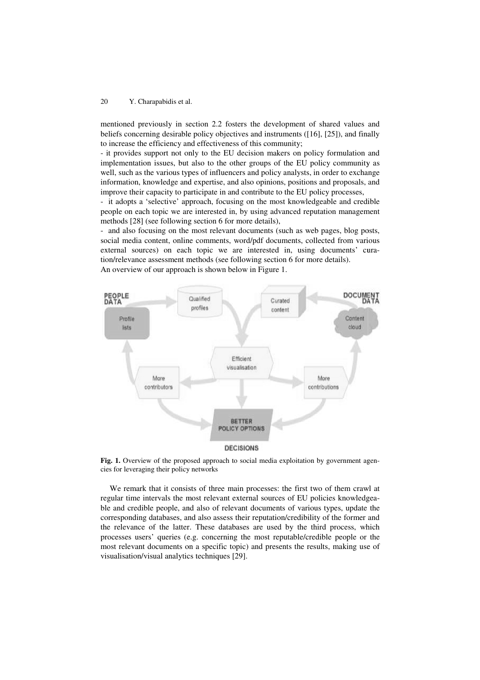mentioned previously in s ection 2.2 fosters the development of shared values and beliefs concerning desirable policy objectives and instruments ([16], [25]), and finally to increase the efficiency and effectiveness of this community;

- it provides support not only to the EU decision makers on policy formulation and implementation issues, but also to the other groups of the EU policy community as well, such as the various types of influencers and policy analysts, in order to exchange information, knowledge and expertise, and also opinions, positions and proposals, and improve their capacity to participate in and contribute to the EU policy processes,

- it adopts a 'selective' approach, focusing on the most knowledgeable and credible people on each topic we are interested in, by using advanced reputation management methods [28] (see following section 6 for more details),

- and also focusing on the most relevant documents (such as web pages, blog posts, social media content, online comments, word/pdf documents, collected from various external sources) on each topic we are interested in, using documents' curation/relevance assessment m methods (see following section 6 for more details). An overview of our approach is shown below in Figure 1.



Fig. 1. Overview of the proposed approach to social media exploitation by government agencies for leveraging their policy networks

We remark that it consists of three main processes: the first two of them crawl at regular time intervals the most relevant external sources of EU policies knowledgeable and credible people, and also of relevant documents of various types, update the corresponding databases, and also assess their reputation/credibility of the former and the relevance of the latter. These databases are used by the third process, which processes users' queries (e.g. concerning the most reputable/credible people or the most relevant documents on a specific topic) and presents the results, making use of visualisation/visual analytics techniques [29].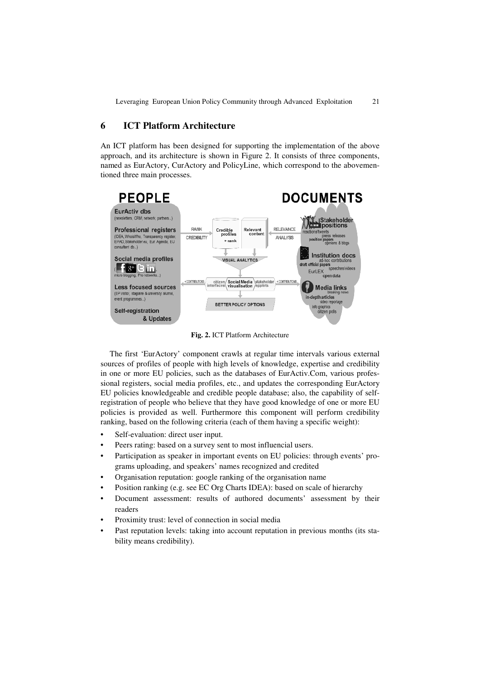Leveraging European Union Policy Community through Advanced Exploitation 21

## **6 ICT Platform Architecture**

An ICT platform has been designed for supporting the implementation of the above approach, and its architecture is shown in Figure 2. It consists of three components, named as EurActory, CurActory and PolicyLine, which correspond to the abovementioned three main processes.



**Fig. 2.** ICT Platform Architecture

The first 'EurActory' component crawls at regular time intervals various external sources of profiles of people with high levels of knowledge, expertise and credibility in one or more EU policies, such as the databases of EurActiv.Com, various professional registers, social media profiles, etc., and updates the corresponding EurActory EU policies knowledgeable and credible people database; also, the capability of selfregistration of people who believe that they have good knowledge of one or more EU policies is provided as well. Furthermore this component will perform credibility ranking, based on the following criteria (each of them having a specific weight):

- Self-evaluation: direct user input.
- Peers rating: based on a survey sent to most influencial users.
- Participation as speaker in important events on EU policies: through events' programs uploading, and speakers' names recognized and credited
- Organisation reputation: google ranking of the organisation name
- Position ranking (e.g. see EC Org Charts IDEA): based on scale of hierarchy
- Document assessment: results of authored documents' assessment by their readers
- Proximity trust: level of connection in social media
- Past reputation levels: taking into account reputation in previous months (its stability means credibility).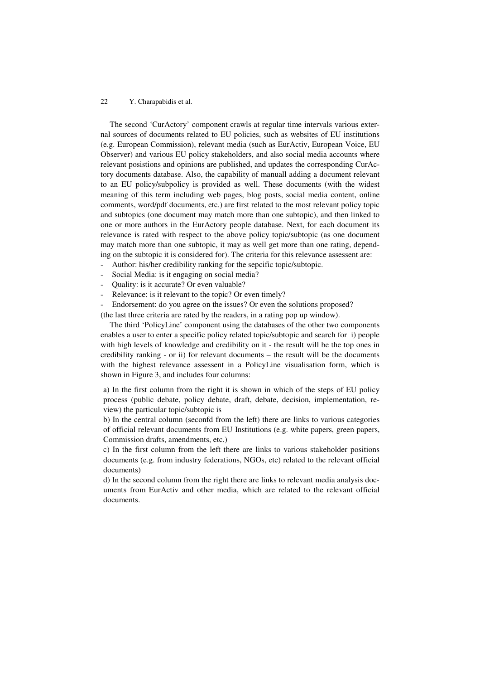The second 'CurActory' component crawls at regular time intervals various external sources of documents related to EU policies, such as websites of EU institutions (e.g. European Commission), relevant media (such as EurActiv, European Voice, EU Observer) and various EU policy stakeholders, and also social media accounts where relevant posistions and opinions are published, and updates the corresponding CurActory documents database. Also, the capability of manuall adding a document relevant to an EU policy/subpolicy is provided as well. These documents (with the widest meaning of this term including web pages, blog posts, social media content, online comments, word/pdf documents, etc.) are first related to the most relevant policy topic and subtopics (one document may match more than one subtopic), and then linked to one or more authors in the EurActory people database. Next, for each document its relevance is rated with respect to the above policy topic/subtopic (as one document may match more than one subtopic, it may as well get more than one rating, depending on the subtopic it is considered for). The criteria for this relevance assessent are:

- Author: his/her credibility ranking for the sepcific topic/subtopic.
- Social Media: is it engaging on social media?
- Quality: is it accurate? Or even valuable?
- Relevance: is it relevant to the topic? Or even timely?
- Endorsement: do you agree on the issues? Or even the solutions proposed?

(the last three criteria are rated by the readers, in a rating pop up window).

The third 'PolicyLine' component using the databases of the other two components enables a user to enter a specific policy related topic/subtopic and search for i) people with high levels of knowledge and credibility on it - the result will be the top ones in credibility ranking - or ii) for relevant documents – the result will be the documents with the highest relevance assessent in a PolicyLine visualisation form, which is shown in Figure 3, and includes four columns:

a) In the first column from the right it is shown in which of the steps of EU policy process (public debate, policy debate, draft, debate, decision, implementation, review) the particular topic/subtopic is

b) In the central column (seconfd from the left) there are links to various categories of official relevant documents from EU Institutions (e.g. white papers, green papers, Commission drafts, amendments, etc.)

c) In the first column from the left there are links to various stakeholder positions documents (e.g. from industry federations, NGOs, etc) related to the relevant official documents)

d) In the second column from the right there are links to relevant media analysis documents from EurActiv and other media, which are related to the relevant official documents.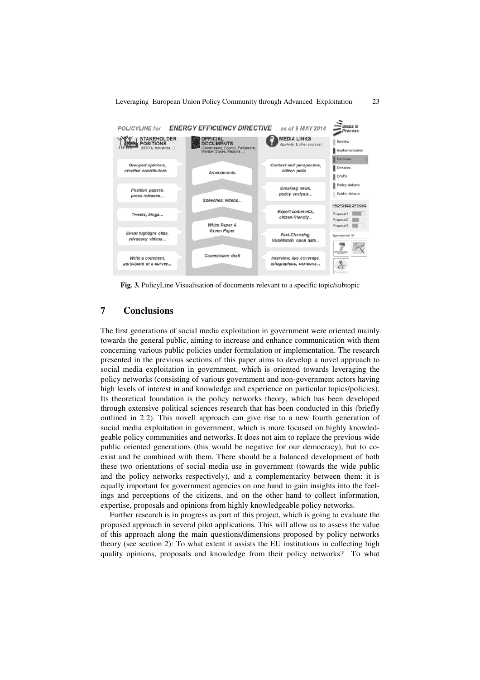

**Fig. 3.** PolicyLine Visualisation of documents relevant to a specific topic/subtopic

#### **7 Conclusions**

The first generations of social media exploitation in government were oriented mainly towards the general public, aiming to increase and enhance communication with them concerning various public policies under formulation or implementation. The research presented in the previous sections of this paper aims to develop a novel approach to social media exploitation in government, which is oriented towards leveraging the policy networks (consisting of various government and non-government actors having high levels of interest in and knowledge and experience on particular topics/policies). Its theoretical foundation is the policy networks theory, which has been developed through extensive political sciences research that has been conducted in this (briefly outlined in 2.2). This novell approach can give rise to a new fourth generation of social media exploitation in government, which is more focused on highly knowledgeable policy communities and networks. It does not aim to replace the previous wide public oriented generations (this would be negative for our democracy), but to coexist and be combined with them. There should be a balanced development of both these two orientations of social media use in government (towards the wide public and the policy networks respectively), and a complementarity between them: it is equally important for government agencies on one hand to gain insights into the feelings and perceptions of the citizens, and on the other hand to collect information, expertise, proposals and opinions from highly knowledgeable policy networks.

Further research is in progress as part of this project, which is going to evaluate the proposed approach in several pilot applications. This will allow us to assess the value of this approach along the main questions/dimensions proposed by policy networks theory (see section 2): To what extent it assists the EU institutions in collecting high quality opinions, proposals and knowledge from their policy networks? To what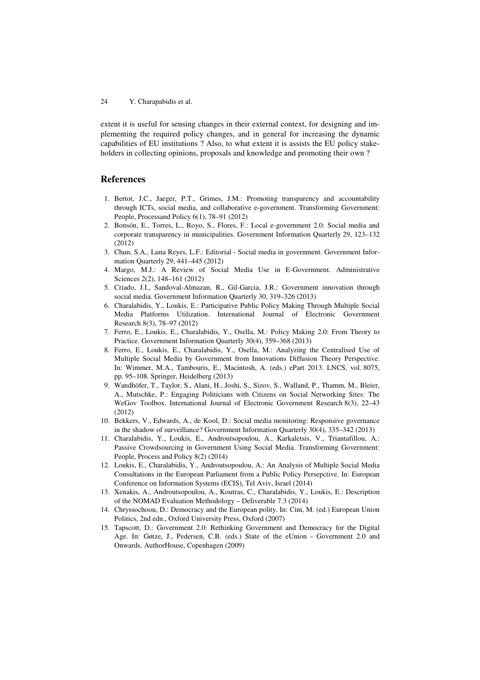extent it is useful for sensing changes in their external context, for designing and implementing the required policy changes, and in general for increasing the dynamic capabilities of EU institutions ? Also, to what extent it is assists the EU policy stakeholders in collecting opinions, proposals and knowledge and promoting their own ?

#### **References**

- 1. Bertot, J.C., Jaeger, P.T., Grimes, J.M.: Promoting transparency and accountability through ICTs, social media, and collaborative e-government. Transforming Government: People, Processand Policy 6(1), 78–91 (2012)
- 2. Bonsón, E., Torres, L., Royo, S., Flores, F.: Local e-government 2.0: Social media and corporate transparency in municipalities. Government Information Quarterly 29, 123–132 (2012)
- 3. Chun, S.A., Luna Reyes, L.F.: Editorial Social media in government. Government Information Quarterly 29, 441–445 (2012)
- 4. Margo, M.J.: A Review of Social Media Use in E-Government. Administrative Sciences 2(2), 148–161 (2012)
- 5. Criado, J.I., Sandoval-Almazan, R., Gil-Garcia, J.R.: Government innovation through social media. Government Information Quarterly 30, 319–326 (2013)
- 6. Charalabidis, Y., Loukis, E.: Participative Public Policy Making Through Multiple Social Media Platforms Utilization. International Journal of Electronic Government Research 8(3), 78–97 (2012)
- 7. Ferro, E., Loukis, E., Charalabidis, Y., Osella, M.: Policy Making 2.0: From Theory to Practice. Government Information Quarterly 30(4), 359–368 (2013)
- 8. Ferro, E., Loukis, E., Charalabidis, Y., Osella, M.: Analyzing the Centralised Use of Multiple Social Media by Government from Innovations Diffusion Theory Perspective. In: Wimmer, M.A., Tambouris, E., Macintosh, A. (eds.) ePart 2013. LNCS, vol. 8075, pp. 95–108. Springer, Heidelberg (2013)
- 9. Wandhöfer, T., Taylor, S., Alani, H., Joshi, S., Sizov, S., Walland, P., Thamm, M., Bleier, A., Mutschke, P.: Engaging Politicians with Citizens on Social Networking Sites: The WeGov Toolbox. International Journal of Electronic Government Research 8(3), 22–43 (2012)
- 10. Bekkers, V., Edwards, A., de Kool, D.: Social media monitoring: Responsive governance in the shadow of surveillance? Government Information Quarterly 30(4), 335–342 (2013)
- 11. Charalabidis, Y., Loukis, E., Androutsopoulou, A., Karkaletsis, V., Triantafillou, A.: Passive Crowdsourcing in Government Using Social Media. Transforming Government: People, Process and Policy 8(2) (2014)
- 12. Loukis, E., Charalabidis, Y., Androutsopoulou, A.: An Analysis of Multiple Social Media Consultations in the European Parliament from a Public Policy Persepctive. In: European Conference on Information Systems (ECIS), Tel Aviv, Israel (2014)
- 13. Xenakis, A., Androutsopoulou, A., Koutras, C., Charalabidis, Y., Loukis, E.: Description of the NOMAD Evaluation Methodology – Deliverable 7.3 (2014)
- 14. Chryssochoou, D.: Democracy and the European polity. In: Cini, M. (ed.) European Union Politics, 2nd edn., Oxford University Press, Oxford (2007)
- 15. Tapscott, D.: Government 2.0: Rethinking Government and Democracy for the Digital Age. In: Gøtze, J., Pedersen, C.B. (eds.) State of the eUnion - Government 2.0 and Onwards. AuthorHouse, Copenhagen (2009)